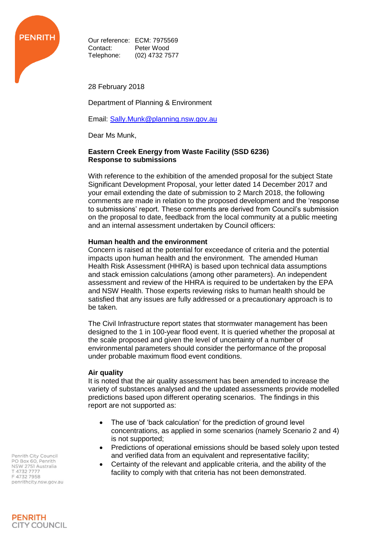

Our reference: ECM: 7975569 Contact: Peter Wood Telephone: (02) 4732 7577

28 February 2018

Department of Planning & Environment

Email: [Sally.Munk@planning.nsw.gov.au](mailto:Sally.Munk@planning.nsw.gov.au)

Dear Ms Munk,

## **Eastern Creek Energy from Waste Facility (SSD 6236) Response to submissions**

With reference to the exhibition of the amended proposal for the subject State Significant Development Proposal, your letter dated 14 December 2017 and your email extending the date of submission to 2 March 2018, the following comments are made in relation to the proposed development and the 'response to submissions' report. These comments are derived from Council's submission on the proposal to date, feedback from the local community at a public meeting and an internal assessment undertaken by Council officers:

# **Human health and the environment**

Concern is raised at the potential for exceedance of criteria and the potential impacts upon human health and the environment. The amended Human Health Risk Assessment (HHRA) is based upon technical data assumptions and stack emission calculations (among other parameters). An independent assessment and review of the HHRA is required to be undertaken by the EPA and NSW Health. Those experts reviewing risks to human health should be satisfied that any issues are fully addressed or a precautionary approach is to be taken.

The Civil Infrastructure report states that stormwater management has been designed to the 1 in 100-year flood event. It is queried whether the proposal at the scale proposed and given the level of uncertainty of a number of environmental parameters should consider the performance of the proposal under probable maximum flood event conditions.

# **Air quality**

It is noted that the air quality assessment has been amended to increase the variety of substances analysed and the updated assessments provide modelled predictions based upon different operating scenarios. The findings in this report are not supported as:

- The use of 'back calculation' for the prediction of ground level concentrations, as applied in some scenarios (namely Scenario 2 and 4) is not supported;
- Predictions of operational emissions should be based solely upon tested and verified data from an equivalent and representative facility;
- Certainty of the relevant and applicable criteria, and the ability of the facility to comply with that criteria has not been demonstrated.

Penrith City Council PO Box 60, Penrith NSW 2751 Australia T 4732 7777 F47327958 penrithcity.nsw.gov.au

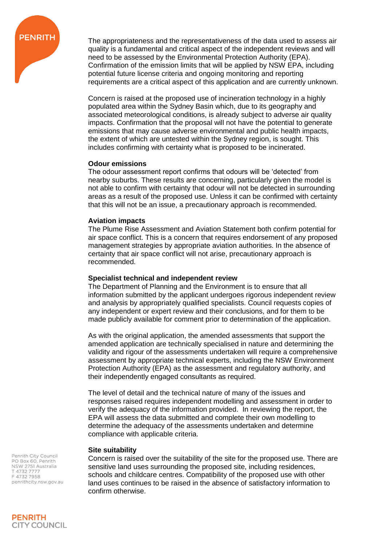

The appropriateness and the representativeness of the data used to assess air quality is a fundamental and critical aspect of the independent reviews and will need to be assessed by the Environmental Protection Authority (EPA). Confirmation of the emission limits that will be applied by NSW EPA, including potential future license criteria and ongoing monitoring and reporting requirements are a critical aspect of this application and are currently unknown.

Concern is raised at the proposed use of incineration technology in a highly populated area within the Sydney Basin which, due to its geography and associated meteorological conditions, is already subject to adverse air quality impacts. Confirmation that the proposal will not have the potential to generate emissions that may cause adverse environmental and public health impacts, the extent of which are untested within the Sydney region, is sought. This includes confirming with certainty what is proposed to be incinerated.

## **Odour emissions**

The odour assessment report confirms that odours will be 'detected' from nearby suburbs. These results are concerning, particularly given the model is not able to confirm with certainty that odour will not be detected in surrounding areas as a result of the proposed use. Unless it can be confirmed with certainty that this will not be an issue, a precautionary approach is recommended.

## **Aviation impacts**

The Plume Rise Assessment and Aviation Statement both confirm potential for air space conflict. This is a concern that requires endorsement of any proposed management strategies by appropriate aviation authorities. In the absence of certainty that air space conflict will not arise, precautionary approach is recommended.

# **Specialist technical and independent review**

The Department of Planning and the Environment is to ensure that all information submitted by the applicant undergoes rigorous independent review and analysis by appropriately qualified specialists. Council requests copies of any independent or expert review and their conclusions, and for them to be made publicly available for comment prior to determination of the application.

As with the original application, the amended assessments that support the amended application are technically specialised in nature and determining the validity and rigour of the assessments undertaken will require a comprehensive assessment by appropriate technical experts, including the NSW Environment Protection Authority (EPA) as the assessment and regulatory authority, and their independently engaged consultants as required.

The level of detail and the technical nature of many of the issues and responses raised requires independent modelling and assessment in order to verify the adequacy of the information provided. In reviewing the report, the EPA will assess the data submitted and complete their own modelling to determine the adequacy of the assessments undertaken and determine compliance with applicable criteria.

# **Site suitability**

Concern is raised over the suitability of the site for the proposed use. There are sensitive land uses surrounding the proposed site, including residences, schools and childcare centres. Compatibility of the proposed use with other land uses continues to be raised in the absence of satisfactory information to confirm otherwise.

Penrith City Council PO Box 60, Penrith<br>NSW 2751 Australia T 4732 7777 F47327958 penrithcity.nsw.gov.au